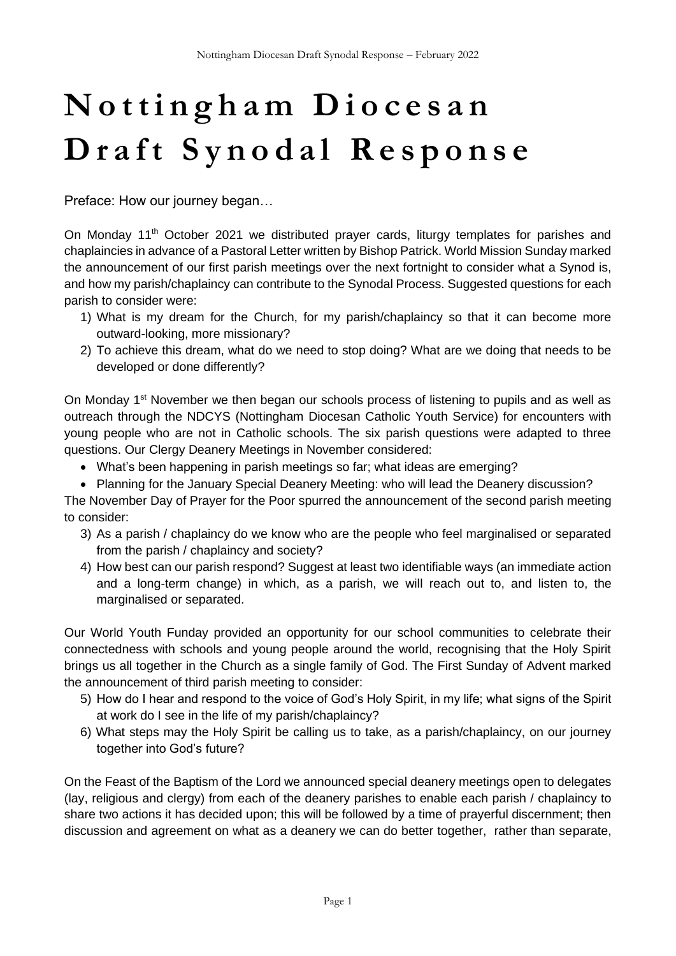# **N o t t i n g h a m D i o c e s a n** Draft Synodal Response

Preface: How our journey began…

On Monday 11<sup>th</sup> October 2021 we distributed prayer cards, liturgy templates for parishes and chaplaincies in advance of a Pastoral Letter written by Bishop Patrick. World Mission Sunday marked the announcement of our first parish meetings over the next fortnight to consider what a Synod is, and how my parish/chaplaincy can contribute to the Synodal Process. Suggested questions for each parish to consider were:

- 1) What is my dream for the Church, for my parish/chaplaincy so that it can become more outward-looking, more missionary?
- 2) To achieve this dream, what do we need to stop doing? What are we doing that needs to be developed or done differently?

On Monday 1<sup>st</sup> November we then began our schools process of listening to pupils and as well as outreach through the NDCYS (Nottingham Diocesan Catholic Youth Service) for encounters with young people who are not in Catholic schools. The six parish questions were adapted to three questions. Our Clergy Deanery Meetings in November considered:

- What's been happening in parish meetings so far; what ideas are emerging?
- Planning for the January Special Deanery Meeting: who will lead the Deanery discussion?

The November Day of Prayer for the Poor spurred the announcement of the second parish meeting to consider:

- 3) As a parish / chaplaincy do we know who are the people who feel marginalised or separated from the parish / chaplaincy and society?
- 4) How best can our parish respond? Suggest at least two identifiable ways (an immediate action and a long-term change) in which, as a parish, we will reach out to, and listen to, the marginalised or separated.

Our World Youth Funday provided an opportunity for our school communities to celebrate their connectedness with schools and young people around the world, recognising that the Holy Spirit brings us all together in the Church as a single family of God. The First Sunday of Advent marked the announcement of third parish meeting to consider:

- 5) How do I hear and respond to the voice of God's Holy Spirit, in my life; what signs of the Spirit at work do I see in the life of my parish/chaplaincy?
- 6) What steps may the Holy Spirit be calling us to take, as a parish/chaplaincy, on our journey together into God's future?

On the Feast of the Baptism of the Lord we announced special deanery meetings open to delegates (lay, religious and clergy) from each of the deanery parishes to enable each parish / chaplaincy to share two actions it has decided upon; this will be followed by a time of prayerful discernment; then discussion and agreement on what as a deanery we can do better together, rather than separate,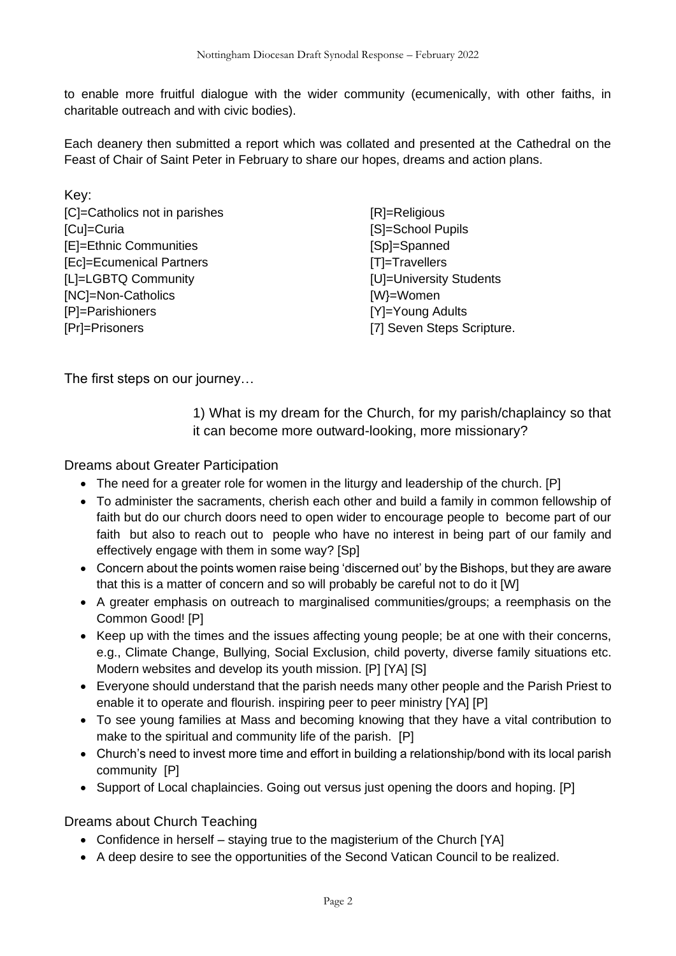to enable more fruitful dialogue with the wider community (ecumenically, with other faiths, in charitable outreach and with civic bodies).

Each deanery then submitted a report which was collated and presented at the Cathedral on the Feast of Chair of Saint Peter in February to share our hopes, dreams and action plans.

| Key:                          |                            |
|-------------------------------|----------------------------|
| [C]=Catholics not in parishes | [R]=Religious              |
| [Cu]=Curia                    | [S]=School Pupils          |
| [E]=Ethnic Communities        | [Sp]=Spanned               |
| [Ec]=Ecumenical Partners      | [T]=Travellers             |
| [L]=LGBTQ Community           | [U]=University Students    |
| [NC]=Non-Catholics            | [W}=Women                  |
| [P]=Parishioners              | [Y]=Young Adults           |
| [Pr]=Prisoners                | [7] Seven Steps Scripture. |

The first steps on our journey…

1) What is my dream for the Church, for my parish/chaplaincy so that it can become more outward-looking, more missionary?

Dreams about Greater Participation

- The need for a greater role for women in the liturgy and leadership of the church. [P]
- To administer the sacraments, cherish each other and build a family in common fellowship of faith but do our church doors need to open wider to encourage people to become part of our faith but also to reach out to people who have no interest in being part of our family and effectively engage with them in some way? [Sp]
- Concern about the points women raise being 'discerned out' by the Bishops, but they are aware that this is a matter of concern and so will probably be careful not to do it [W]
- A greater emphasis on outreach to marginalised communities/groups; a reemphasis on the Common Good! [P]
- Keep up with the times and the issues affecting young people; be at one with their concerns, e.g., Climate Change, Bullying, Social Exclusion, child poverty, diverse family situations etc. Modern websites and develop its youth mission. [P] [YA] [S]
- Everyone should understand that the parish needs many other people and the Parish Priest to enable it to operate and flourish. inspiring peer to peer ministry [YA] [P]
- To see young families at Mass and becoming knowing that they have a vital contribution to make to the spiritual and community life of the parish. [P]
- Church's need to invest more time and effort in building a relationship/bond with its local parish community [P]
- Support of Local chaplaincies. Going out versus just opening the doors and hoping. [P]

Dreams about Church Teaching

- Confidence in herself staying true to the magisterium of the Church [YA]
- A deep desire to see the opportunities of the Second Vatican Council to be realized.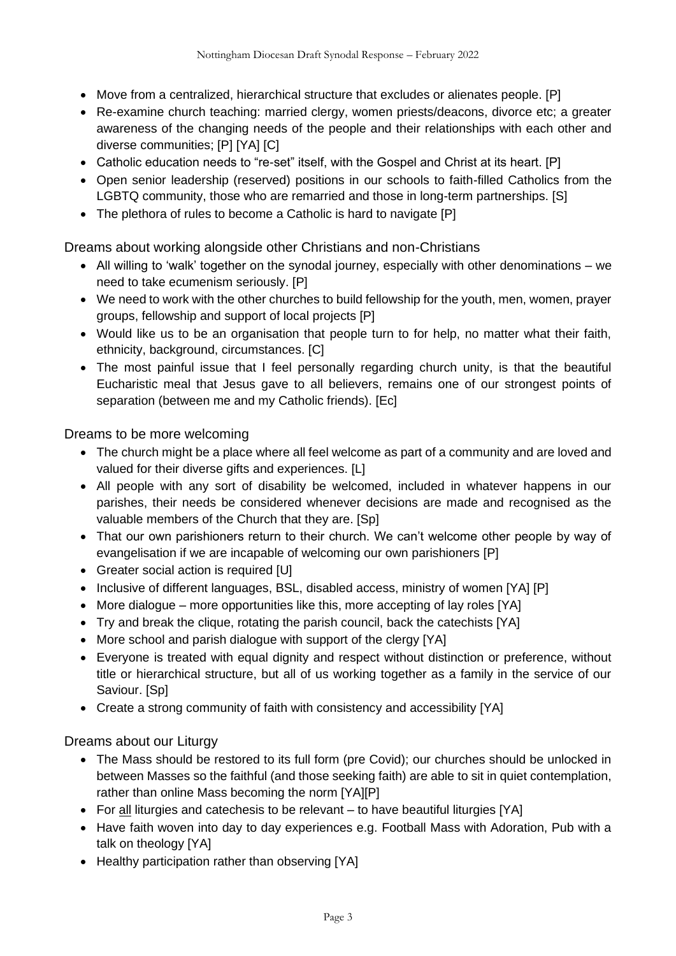- Move from a centralized, hierarchical structure that excludes or alienates people. [P]
- Re-examine church teaching: married clergy, women priests/deacons, divorce etc; a greater awareness of the changing needs of the people and their relationships with each other and diverse communities; [P] [YA] [C]
- Catholic education needs to "re-set" itself, with the Gospel and Christ at its heart. [P]
- Open senior leadership (reserved) positions in our schools to faith-filled Catholics from the LGBTQ community, those who are remarried and those in long-term partnerships. [S]
- The plethora of rules to become a Catholic is hard to navigate [P]

Dreams about working alongside other Christians and non-Christians

- All willing to 'walk' together on the synodal journey, especially with other denominations we need to take ecumenism seriously. [P]
- We need to work with the other churches to build fellowship for the youth, men, women, prayer groups, fellowship and support of local projects [P]
- Would like us to be an organisation that people turn to for help, no matter what their faith, ethnicity, background, circumstances. [C]
- The most painful issue that I feel personally regarding church unity, is that the beautiful Eucharistic meal that Jesus gave to all believers, remains one of our strongest points of separation (between me and my Catholic friends). [Ec]

Dreams to be more welcoming

- The church might be a place where all feel welcome as part of a community and are loved and valued for their diverse gifts and experiences. [L]
- All people with any sort of disability be welcomed, included in whatever happens in our parishes, their needs be considered whenever decisions are made and recognised as the valuable members of the Church that they are. [Sp]
- That our own parishioners return to their church. We can't welcome other people by way of evangelisation if we are incapable of welcoming our own parishioners [P]
- Greater social action is required [U]
- Inclusive of different languages, BSL, disabled access, ministry of women [YA] [P]
- More dialogue more opportunities like this, more accepting of lay roles [YA]
- Try and break the clique, rotating the parish council, back the catechists [YA]
- More school and parish dialogue with support of the clergy [YA]
- Everyone is treated with equal dignity and respect without distinction or preference, without title or hierarchical structure, but all of us working together as a family in the service of our Saviour. [Sp]
- Create a strong community of faith with consistency and accessibility [YA]

Dreams about our Liturgy

- The Mass should be restored to its full form (pre Covid); our churches should be unlocked in between Masses so the faithful (and those seeking faith) are able to sit in quiet contemplation, rather than online Mass becoming the norm [YA][P]
- For all liturgies and catechesis to be relevant to have beautiful liturgies [YA]
- Have faith woven into day to day experiences e.g. Football Mass with Adoration, Pub with a talk on theology [YA]
- Healthy participation rather than observing [YA]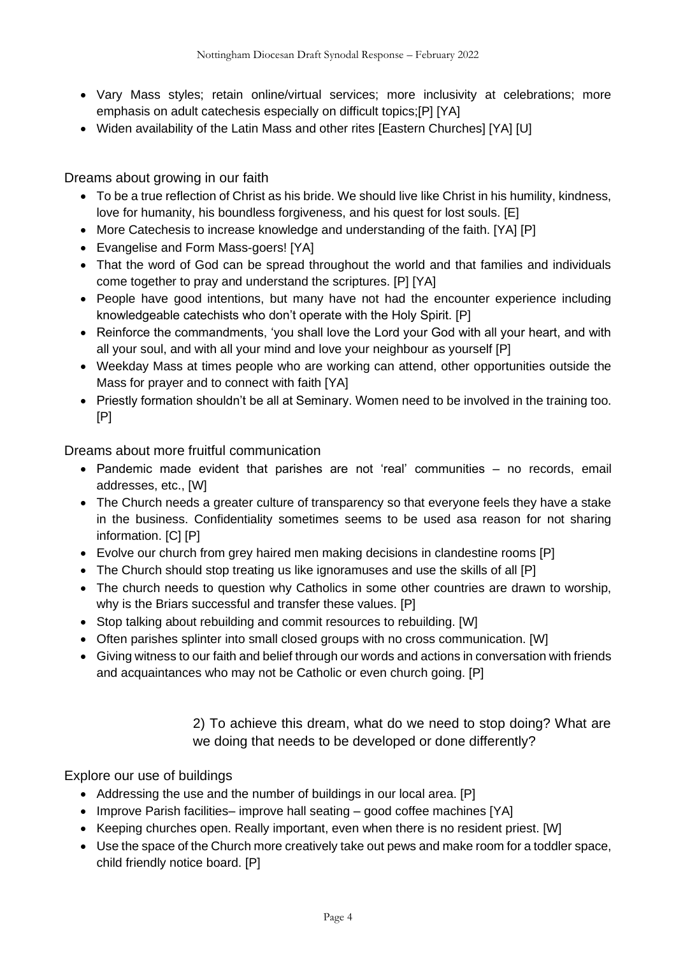- Vary Mass styles; retain online/virtual services; more inclusivity at celebrations; more emphasis on adult catechesis especially on difficult topics;[P] [YA]
- Widen availability of the Latin Mass and other rites [Eastern Churches] [YA] [U]

Dreams about growing in our faith

- To be a true reflection of Christ as his bride. We should live like Christ in his humility, kindness, love for humanity, his boundless forgiveness, and his quest for lost souls. [E]
- More Catechesis to increase knowledge and understanding of the faith. [YA] [P]
- Evangelise and Form Mass-goers! [YA]
- That the word of God can be spread throughout the world and that families and individuals come together to pray and understand the scriptures. [P] [YA]
- People have good intentions, but many have not had the encounter experience including knowledgeable catechists who don't operate with the Holy Spirit. [P]
- Reinforce the commandments, 'you shall love the Lord your God with all your heart, and with all your soul, and with all your mind and love your neighbour as yourself [P]
- Weekday Mass at times people who are working can attend, other opportunities outside the Mass for prayer and to connect with faith [YA]
- Priestly formation shouldn't be all at Seminary. Women need to be involved in the training too. [P]

Dreams about more fruitful communication

- Pandemic made evident that parishes are not 'real' communities no records, email addresses, etc., [W]
- The Church needs a greater culture of transparency so that everyone feels they have a stake in the business. Confidentiality sometimes seems to be used asa reason for not sharing information. [C] [P]
- Evolve our church from grey haired men making decisions in clandestine rooms [P]
- The Church should stop treating us like ignoramuses and use the skills of all [P]
- The church needs to question why Catholics in some other countries are drawn to worship, why is the Briars successful and transfer these values. [P]
- Stop talking about rebuilding and commit resources to rebuilding. [W]
- Often parishes splinter into small closed groups with no cross communication. [W]
- Giving witness to our faith and belief through our words and actions in conversation with friends and acquaintances who may not be Catholic or even church going. [P]

2) To achieve this dream, what do we need to stop doing? What are we doing that needs to be developed or done differently?

Explore our use of buildings

- Addressing the use and the number of buildings in our local area. [P]
- Improve Parish facilities– improve hall seating good coffee machines [YA]
- Keeping churches open. Really important, even when there is no resident priest. [W]
- Use the space of the Church more creatively take out pews and make room for a toddler space, child friendly notice board. [P]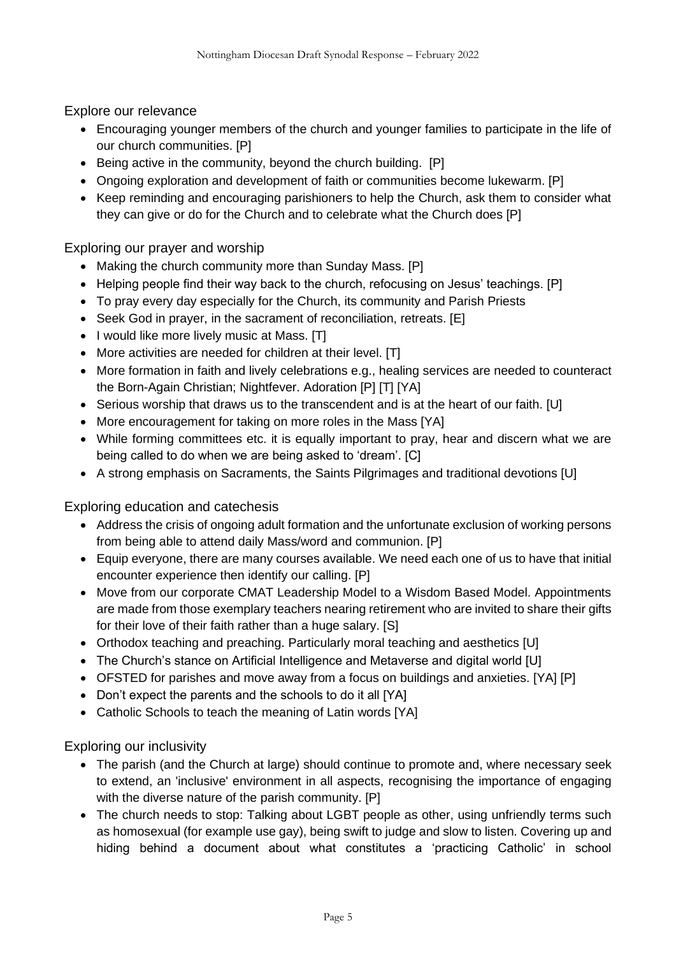Explore our relevance

- Encouraging younger members of the church and younger families to participate in the life of our church communities. [P]
- Being active in the community, beyond the church building. [P]
- Ongoing exploration and development of faith or communities become lukewarm. [P]
- Keep reminding and encouraging parishioners to help the Church, ask them to consider what they can give or do for the Church and to celebrate what the Church does [P]

Exploring our prayer and worship

- Making the church community more than Sunday Mass. [P]
- Helping people find their way back to the church, refocusing on Jesus' teachings. [P]
- To pray every day especially for the Church, its community and Parish Priests
- Seek God in prayer, in the sacrament of reconciliation, retreats, [E]
- I would like more lively music at Mass. [T]
- More activities are needed for children at their level. [T]
- More formation in faith and lively celebrations e.g., healing services are needed to counteract the Born-Again Christian; Nightfever. Adoration [P] [T] [YA]
- Serious worship that draws us to the transcendent and is at the heart of our faith. [U]
- More encouragement for taking on more roles in the Mass [YA]
- While forming committees etc. it is equally important to pray, hear and discern what we are being called to do when we are being asked to 'dream'. [C]
- A strong emphasis on Sacraments, the Saints Pilgrimages and traditional devotions [U]

Exploring education and catechesis

- Address the crisis of ongoing adult formation and the unfortunate exclusion of working persons from being able to attend daily Mass/word and communion. [P]
- Equip everyone, there are many courses available. We need each one of us to have that initial encounter experience then identify our calling. [P]
- Move from our corporate CMAT Leadership Model to a Wisdom Based Model. Appointments are made from those exemplary teachers nearing retirement who are invited to share their gifts for their love of their faith rather than a huge salary. [S]
- Orthodox teaching and preaching. Particularly moral teaching and aesthetics [U]
- The Church's stance on Artificial Intelligence and Metaverse and digital world [U]
- OFSTED for parishes and move away from a focus on buildings and anxieties. [YA] [P]
- Don't expect the parents and the schools to do it all [YA]
- Catholic Schools to teach the meaning of Latin words [YA]

Exploring our inclusivity

- The parish (and the Church at large) should continue to promote and, where necessary seek to extend, an 'inclusive' environment in all aspects, recognising the importance of engaging with the diverse nature of the parish community. [P]
- The church needs to stop: Talking about LGBT people as other, using unfriendly terms such as homosexual (for example use gay), being swift to judge and slow to listen. Covering up and hiding behind a document about what constitutes a 'practicing Catholic' in school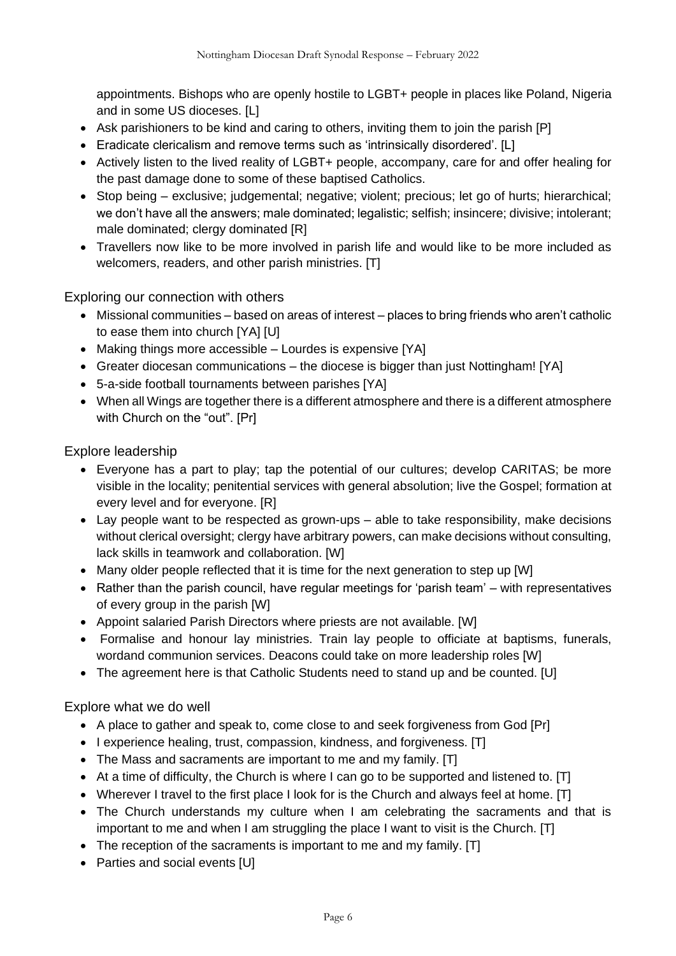appointments. Bishops who are openly hostile to LGBT+ people in places like Poland, Nigeria and in some US dioceses. [L]

- Ask parishioners to be kind and caring to others, inviting them to join the parish [P]
- Eradicate clericalism and remove terms such as 'intrinsically disordered'. [L]
- Actively listen to the lived reality of LGBT+ people, accompany, care for and offer healing for the past damage done to some of these baptised Catholics.
- Stop being exclusive; judgemental; negative; violent; precious; let go of hurts; hierarchical; we don't have all the answers; male dominated; legalistic; selfish; insincere; divisive; intolerant; male dominated; clergy dominated [R]
- Travellers now like to be more involved in parish life and would like to be more included as welcomers, readers, and other parish ministries. [T]

Exploring our connection with others

- Missional communities based on areas of interest places to bring friends who aren't catholic to ease them into church [YA] [U]
- Making things more accessible Lourdes is expensive [YA]
- Greater diocesan communications the diocese is bigger than just Nottingham! [YA]
- 5-a-side football tournaments between parishes [YA]
- When all Wings are together there is a different atmosphere and there is a different atmosphere with Church on the "out". [Pr]

Explore leadership

- Everyone has a part to play; tap the potential of our cultures; develop CARITAS; be more visible in the locality; penitential services with general absolution; live the Gospel; formation at every level and for everyone. [R]
- Lay people want to be respected as grown-ups able to take responsibility, make decisions without clerical oversight; clergy have arbitrary powers, can make decisions without consulting, lack skills in teamwork and collaboration. [W]
- Many older people reflected that it is time for the next generation to step up [W]
- Rather than the parish council, have regular meetings for 'parish team' with representatives of every group in the parish [W]
- Appoint salaried Parish Directors where priests are not available. [W]
- Formalise and honour lay ministries. Train lay people to officiate at baptisms, funerals, wordand communion services. Deacons could take on more leadership roles [W]
- The agreement here is that Catholic Students need to stand up and be counted. [U]

Explore what we do well

- A place to gather and speak to, come close to and seek forgiveness from God [Pr]
- I experience healing, trust, compassion, kindness, and forgiveness. [T]
- The Mass and sacraments are important to me and my family. [T]
- At a time of difficulty, the Church is where I can go to be supported and listened to. [T]
- Wherever I travel to the first place I look for is the Church and always feel at home. [T]
- The Church understands my culture when I am celebrating the sacraments and that is important to me and when I am struggling the place I want to visit is the Church. [T]
- The reception of the sacraments is important to me and my family. [T]
- Parties and social events [U]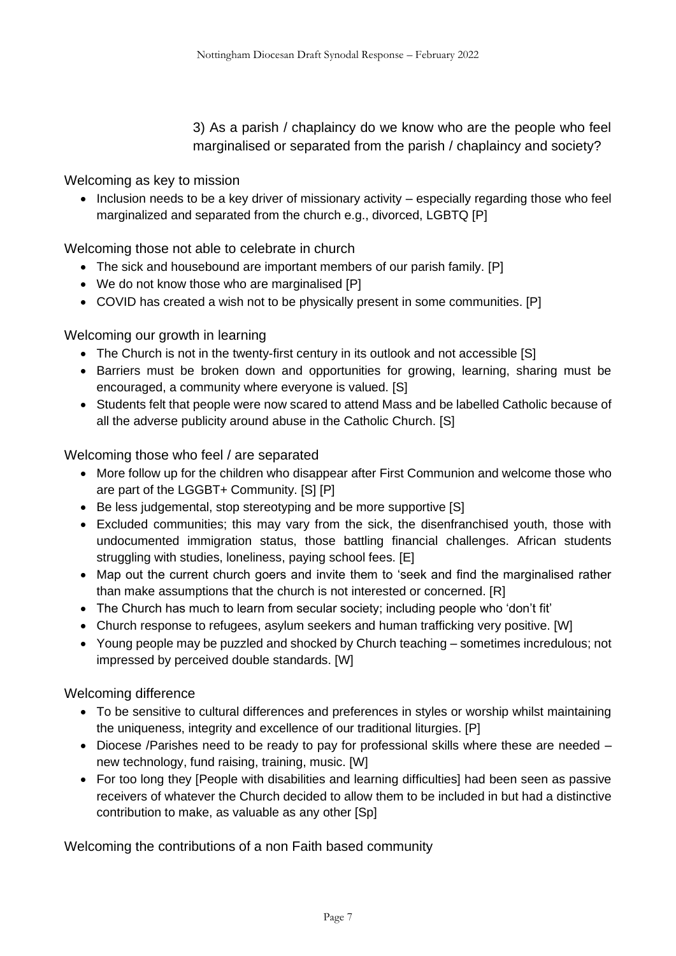3) As a parish / chaplaincy do we know who are the people who feel marginalised or separated from the parish / chaplaincy and society?

Welcoming as key to mission

• Inclusion needs to be a key driver of missionary activity – especially regarding those who feel marginalized and separated from the church e.g., divorced, LGBTQ [P]

Welcoming those not able to celebrate in church

- The sick and housebound are important members of our parish family. [P]
- We do not know those who are marginalised [P]
- COVID has created a wish not to be physically present in some communities. [P]

Welcoming our growth in learning

- The Church is not in the twenty-first century in its outlook and not accessible [S]
- Barriers must be broken down and opportunities for growing, learning, sharing must be encouraged, a community where everyone is valued. [S]
- Students felt that people were now scared to attend Mass and be labelled Catholic because of all the adverse publicity around abuse in the Catholic Church. [S]

Welcoming those who feel / are separated

- More follow up for the children who disappear after First Communion and welcome those who are part of the LGGBT+ Community. [S] [P]
- Be less judgemental, stop stereotyping and be more supportive [S]
- Excluded communities; this may vary from the sick, the disenfranchised youth, those with undocumented immigration status, those battling financial challenges. African students struggling with studies, loneliness, paying school fees. [E]
- Map out the current church goers and invite them to 'seek and find the marginalised rather than make assumptions that the church is not interested or concerned. [R]
- The Church has much to learn from secular society; including people who 'don't fit'
- Church response to refugees, asylum seekers and human trafficking very positive. [W]
- Young people may be puzzled and shocked by Church teaching sometimes incredulous; not impressed by perceived double standards. [W]

Welcoming difference

- To be sensitive to cultural differences and preferences in styles or worship whilst maintaining the uniqueness, integrity and excellence of our traditional liturgies. [P]
- Diocese /Parishes need to be ready to pay for professional skills where these are needed new technology, fund raising, training, music. [W]
- For too long they [People with disabilities and learning difficulties] had been seen as passive receivers of whatever the Church decided to allow them to be included in but had a distinctive contribution to make, as valuable as any other [Sp]

Welcoming the contributions of a non Faith based community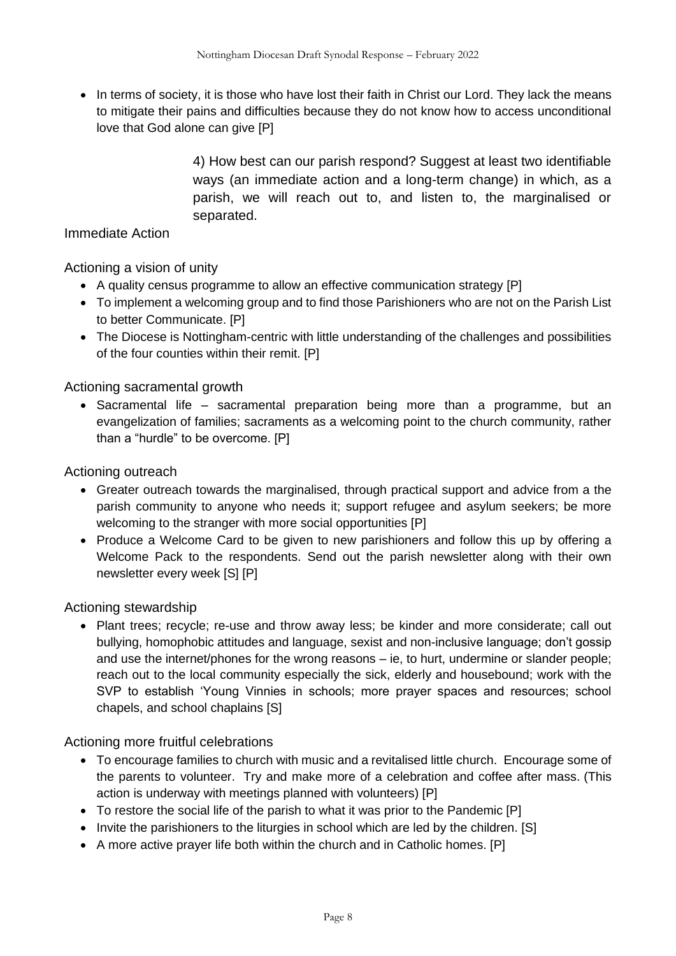• In terms of society, it is those who have lost their faith in Christ our Lord. They lack the means to mitigate their pains and difficulties because they do not know how to access unconditional love that God alone can give [P]

> 4) How best can our parish respond? Suggest at least two identifiable ways (an immediate action and a long-term change) in which, as a parish, we will reach out to, and listen to, the marginalised or separated.

#### Immediate Action

Actioning a vision of unity

- A quality census programme to allow an effective communication strategy [P]
- To implement a welcoming group and to find those Parishioners who are not on the Parish List to better Communicate. [P]
- The Diocese is Nottingham-centric with little understanding of the challenges and possibilities of the four counties within their remit. [P]

Actioning sacramental growth

• Sacramental life – sacramental preparation being more than a programme, but an evangelization of families; sacraments as a welcoming point to the church community, rather than a "hurdle" to be overcome. [P]

Actioning outreach

- Greater outreach towards the marginalised, through practical support and advice from a the parish community to anyone who needs it; support refugee and asylum seekers; be more welcoming to the stranger with more social opportunities [P]
- Produce a Welcome Card to be given to new parishioners and follow this up by offering a Welcome Pack to the respondents. Send out the parish newsletter along with their own newsletter every week [S] [P]

Actioning stewardship

• Plant trees; recycle; re-use and throw away less; be kinder and more considerate; call out bullying, homophobic attitudes and language, sexist and non-inclusive language; don't gossip and use the internet/phones for the wrong reasons – ie, to hurt, undermine or slander people; reach out to the local community especially the sick, elderly and housebound; work with the SVP to establish 'Young Vinnies in schools; more prayer spaces and resources; school chapels, and school chaplains [S]

Actioning more fruitful celebrations

- To encourage families to church with music and a revitalised little church. Encourage some of the parents to volunteer. Try and make more of a celebration and coffee after mass. (This action is underway with meetings planned with volunteers) [P]
- To restore the social life of the parish to what it was prior to the Pandemic [P]
- Invite the parishioners to the liturgies in school which are led by the children. [S]
- A more active prayer life both within the church and in Catholic homes. [P]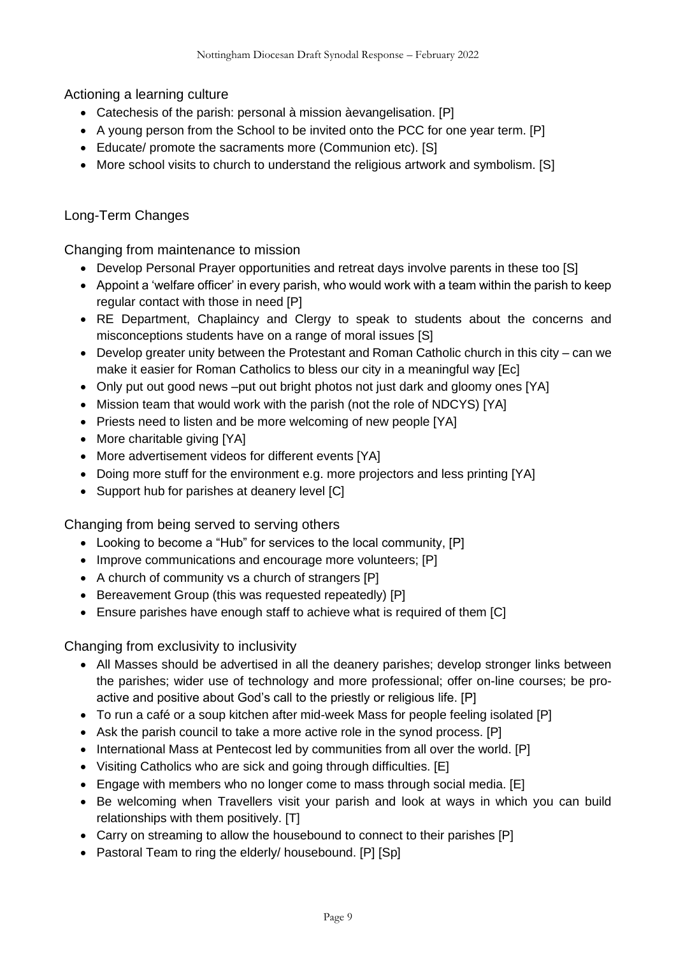Actioning a learning culture

- Catechesis of the parish: personal à mission àevangelisation. [P]
- A young person from the School to be invited onto the PCC for one year term. [P]
- Educate/ promote the sacraments more (Communion etc). [S]
- More school visits to church to understand the religious artwork and symbolism. [S]

### Long-Term Changes

Changing from maintenance to mission

- Develop Personal Prayer opportunities and retreat days involve parents in these too [S]
- Appoint a 'welfare officer' in every parish, who would work with a team within the parish to keep regular contact with those in need [P]
- RE Department, Chaplaincy and Clergy to speak to students about the concerns and misconceptions students have on a range of moral issues [S]
- Develop greater unity between the Protestant and Roman Catholic church in this city can we make it easier for Roman Catholics to bless our city in a meaningful way [Ec]
- Only put out good news –put out bright photos not just dark and gloomy ones [YA]
- Mission team that would work with the parish (not the role of NDCYS) [YA]
- Priests need to listen and be more welcoming of new people [YA]
- More charitable giving [YA]
- More advertisement videos for different events [YA]
- Doing more stuff for the environment e.g. more projectors and less printing [YA]
- Support hub for parishes at deanery level [C]

Changing from being served to serving others

- Looking to become a "Hub" for services to the local community, [P]
- Improve communications and encourage more volunteers; [P]
- A church of community vs a church of strangers [P]
- Bereavement Group (this was requested repeatedly) [P]
- Ensure parishes have enough staff to achieve what is required of them [C]

Changing from exclusivity to inclusivity

- All Masses should be advertised in all the deanery parishes; develop stronger links between the parishes; wider use of technology and more professional; offer on-line courses; be proactive and positive about God's call to the priestly or religious life. [P]
- To run a café or a soup kitchen after mid-week Mass for people feeling isolated [P]
- Ask the parish council to take a more active role in the synod process. [P]
- International Mass at Pentecost led by communities from all over the world. [P]
- Visiting Catholics who are sick and going through difficulties. [E]
- Engage with members who no longer come to mass through social media. [E]
- Be welcoming when Travellers visit your parish and look at ways in which you can build relationships with them positively. [T]
- Carry on streaming to allow the housebound to connect to their parishes [P]
- Pastoral Team to ring the elderly/ housebound. [P] [Sp]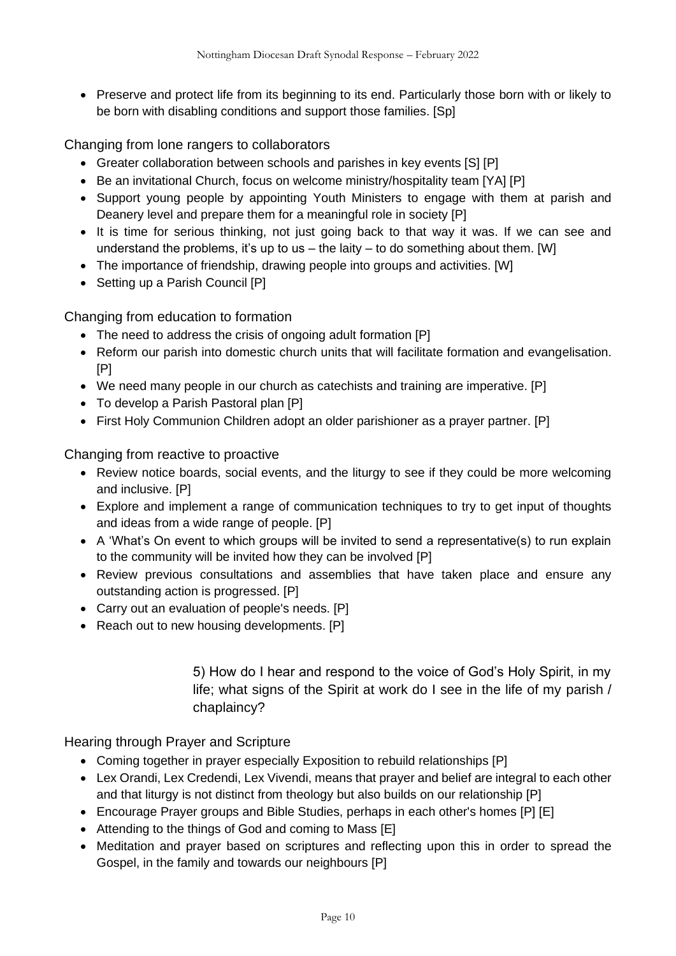• Preserve and protect life from its beginning to its end. Particularly those born with or likely to be born with disabling conditions and support those families. [Sp]

Changing from lone rangers to collaborators

- Greater collaboration between schools and parishes in key events [S] [P]
- Be an invitational Church, focus on welcome ministry/hospitality team [YA] [P]
- Support young people by appointing Youth Ministers to engage with them at parish and Deanery level and prepare them for a meaningful role in society [P]
- It is time for serious thinking, not just going back to that way it was. If we can see and understand the problems, it's up to us  $-$  the laity  $-$  to do something about them. [W]
- The importance of friendship, drawing people into groups and activities. [W]
- Setting up a Parish Council [P]

Changing from education to formation

- The need to address the crisis of ongoing adult formation [P]
- Reform our parish into domestic church units that will facilitate formation and evangelisation. [P]
- We need many people in our church as catechists and training are imperative. [P]
- To develop a Parish Pastoral plan [P]
- First Holy Communion Children adopt an older parishioner as a prayer partner. [P]

Changing from reactive to proactive

- Review notice boards, social events, and the liturgy to see if they could be more welcoming and inclusive. [P]
- Explore and implement a range of communication techniques to try to get input of thoughts and ideas from a wide range of people. [P]
- A 'What's On event to which groups will be invited to send a representative(s) to run explain to the community will be invited how they can be involved [P]
- Review previous consultations and assemblies that have taken place and ensure any outstanding action is progressed. [P]
- Carry out an evaluation of people's needs. [P]
- Reach out to new housing developments. [P]

5) How do I hear and respond to the voice of God's Holy Spirit, in my life; what signs of the Spirit at work do I see in the life of my parish / chaplaincy?

Hearing through Prayer and Scripture

- Coming together in prayer especially Exposition to rebuild relationships [P]
- Lex Orandi, Lex Credendi, Lex Vivendi, means that prayer and belief are integral to each other and that liturgy is not distinct from theology but also builds on our relationship [P]
- Encourage Prayer groups and Bible Studies, perhaps in each other's homes [P] [E]
- Attending to the things of God and coming to Mass [E]
- Meditation and prayer based on scriptures and reflecting upon this in order to spread the Gospel, in the family and towards our neighbours [P]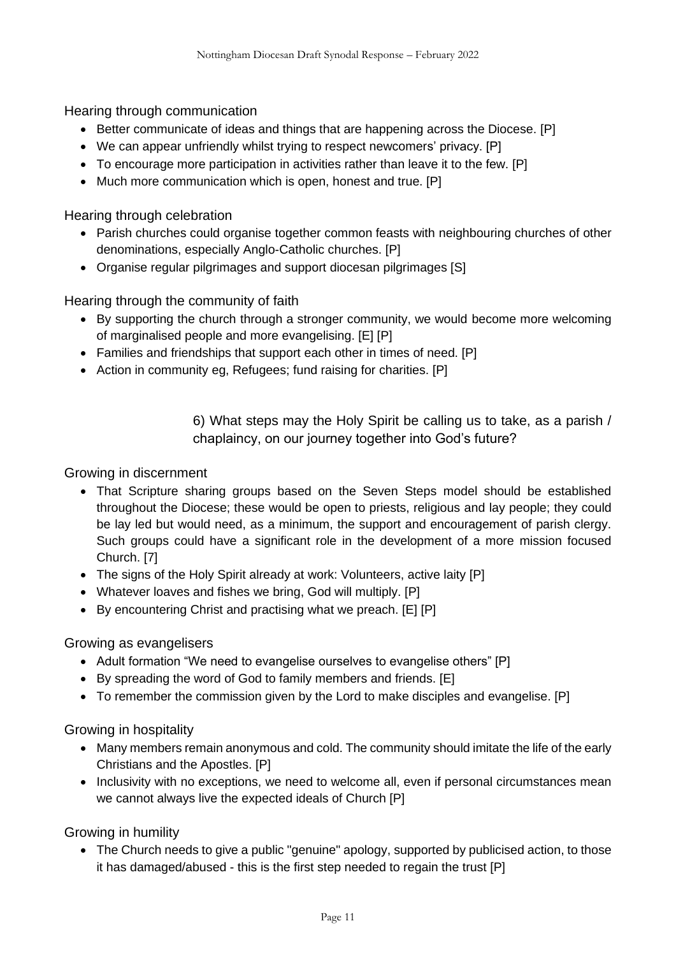Hearing through communication

- Better communicate of ideas and things that are happening across the Diocese. [P]
- We can appear unfriendly whilst trying to respect newcomers' privacy. [P]
- To encourage more participation in activities rather than leave it to the few. [P]
- Much more communication which is open, honest and true. [P]

Hearing through celebration

- Parish churches could organise together common feasts with neighbouring churches of other denominations, especially Anglo-Catholic churches. [P]
- Organise regular pilgrimages and support diocesan pilgrimages [S]

Hearing through the community of faith

- By supporting the church through a stronger community, we would become more welcoming of marginalised people and more evangelising. [E] [P]
- Families and friendships that support each other in times of need. [P]
- Action in community eg, Refugees; fund raising for charities. [P]

6) What steps may the Holy Spirit be calling us to take, as a parish / chaplaincy, on our journey together into God's future?

Growing in discernment

- That Scripture sharing groups based on the Seven Steps model should be established throughout the Diocese; these would be open to priests, religious and lay people; they could be lay led but would need, as a minimum, the support and encouragement of parish clergy. Such groups could have a significant role in the development of a more mission focused Church. [7]
- The signs of the Holy Spirit already at work: Volunteers, active laity [P]
- Whatever loaves and fishes we bring, God will multiply. [P]
- By encountering Christ and practising what we preach. [E] [P]

#### Growing as evangelisers

- Adult formation "We need to evangelise ourselves to evangelise others" [P]
- By spreading the word of God to family members and friends. [E]
- To remember the commission given by the Lord to make disciples and evangelise. [P]

Growing in hospitality

- Many members remain anonymous and cold. The community should imitate the life of the early Christians and the Apostles. [P]
- Inclusivity with no exceptions, we need to welcome all, even if personal circumstances mean we cannot always live the expected ideals of Church [P]

Growing in humility

• The Church needs to give a public "genuine" apology, supported by publicised action, to those it has damaged/abused - this is the first step needed to regain the trust [P]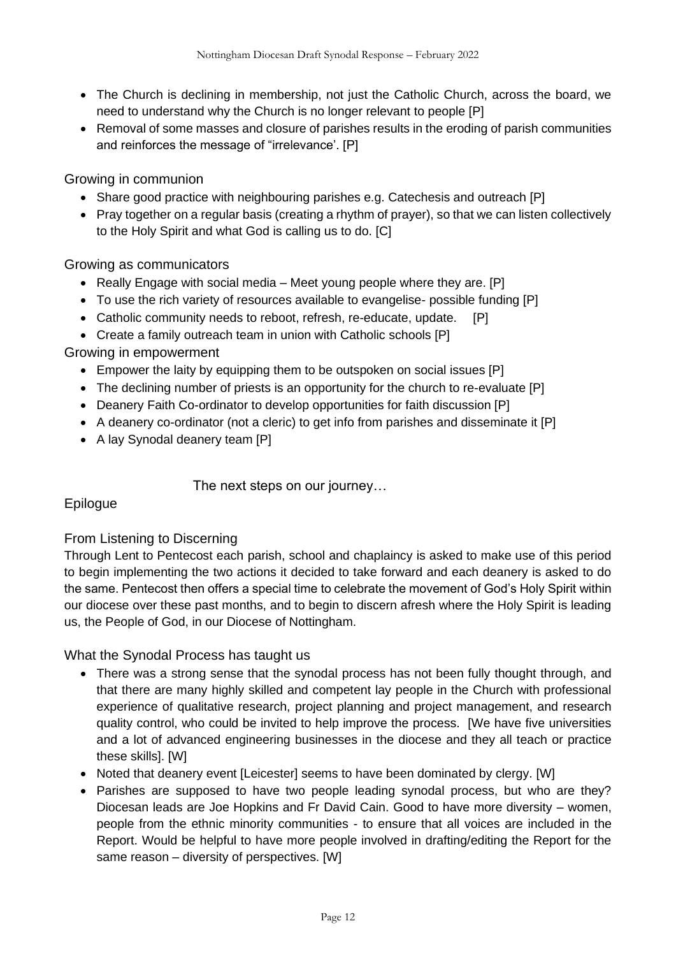- The Church is declining in membership, not just the Catholic Church, across the board, we need to understand why the Church is no longer relevant to people [P]
- Removal of some masses and closure of parishes results in the eroding of parish communities and reinforces the message of "irrelevance'. [P]

#### Growing in communion

- Share good practice with neighbouring parishes e.g. Catechesis and outreach [P]
- Pray together on a regular basis (creating a rhythm of prayer), so that we can listen collectively to the Holy Spirit and what God is calling us to do. [C]

Growing as communicators

- Really Engage with social media Meet young people where they are. [P]
- To use the rich variety of resources available to evangelise- possible funding [P]
- Catholic community needs to reboot, refresh, re-educate, update. [P]
- Create a family outreach team in union with Catholic schools [P]

Growing in empowerment

- Empower the laity by equipping them to be outspoken on social issues [P]
- The declining number of priests is an opportunity for the church to re-evaluate [P]
- Deanery Faith Co-ordinator to develop opportunities for faith discussion [P]
- A deanery co-ordinator (not a cleric) to get info from parishes and disseminate it [P]
- A lay Synodal deanery team [P]

The next steps on our journey…

#### Epilogue

#### From Listening to Discerning

Through Lent to Pentecost each parish, school and chaplaincy is asked to make use of this period to begin implementing the two actions it decided to take forward and each deanery is asked to do the same. Pentecost then offers a special time to celebrate the movement of God's Holy Spirit within our diocese over these past months, and to begin to discern afresh where the Holy Spirit is leading us, the People of God, in our Diocese of Nottingham.

What the Synodal Process has taught us

- There was a strong sense that the synodal process has not been fully thought through, and that there are many highly skilled and competent lay people in the Church with professional experience of qualitative research, project planning and project management, and research quality control, who could be invited to help improve the process. [We have five universities and a lot of advanced engineering businesses in the diocese and they all teach or practice these skills]. [W]
- Noted that deanery event [Leicester] seems to have been dominated by clergy. [W]
- Parishes are supposed to have two people leading synodal process, but who are they? Diocesan leads are Joe Hopkins and Fr David Cain. Good to have more diversity – women, people from the ethnic minority communities - to ensure that all voices are included in the Report. Would be helpful to have more people involved in drafting/editing the Report for the same reason – diversity of perspectives. [W]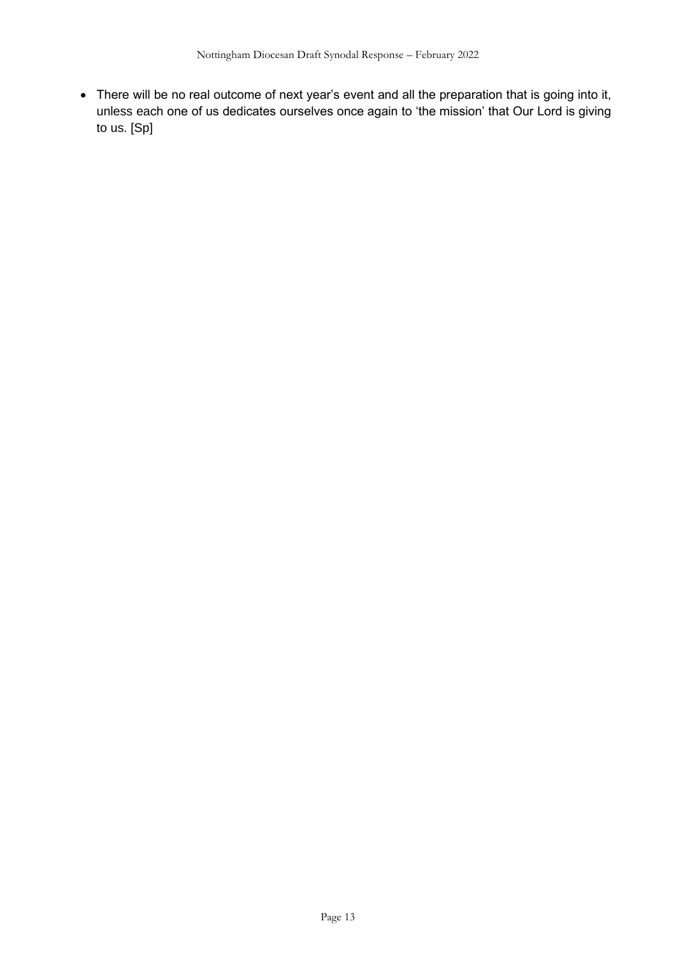• There will be no real outcome of next year's event and all the preparation that is going into it, unless each one of us dedicates ourselves once again to 'the mission' that Our Lord is giving to us. [Sp]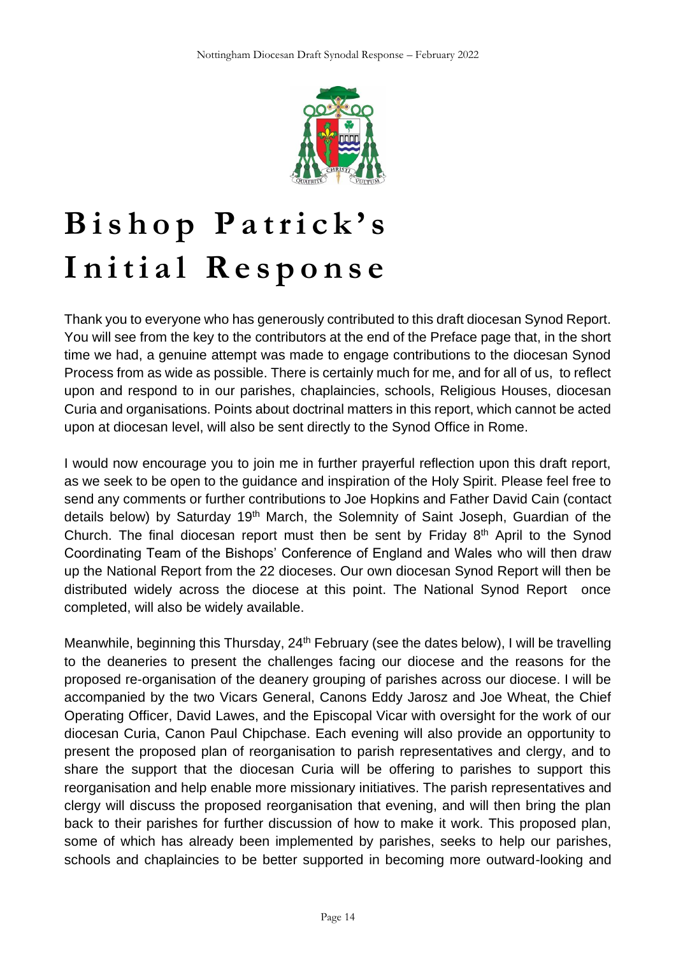

# **B i s h o p P a t r i c k ' s** Initial Response

Thank you to everyone who has generously contributed to this draft diocesan Synod Report. You will see from the key to the contributors at the end of the Preface page that, in the short time we had, a genuine attempt was made to engage contributions to the diocesan Synod Process from as wide as possible. There is certainly much for me, and for all of us, to reflect upon and respond to in our parishes, chaplaincies, schools, Religious Houses, diocesan Curia and organisations. Points about doctrinal matters in this report, which cannot be acted upon at diocesan level, will also be sent directly to the Synod Office in Rome.

I would now encourage you to join me in further prayerful reflection upon this draft report, as we seek to be open to the guidance and inspiration of the Holy Spirit. Please feel free to send any comments or further contributions to Joe Hopkins and Father David Cain (contact details below) by Saturday 19<sup>th</sup> March, the Solemnity of Saint Joseph, Guardian of the Church. The final diocesan report must then be sent by Friday  $8<sup>th</sup>$  April to the Synod Coordinating Team of the Bishops' Conference of England and Wales who will then draw up the National Report from the 22 dioceses. Our own diocesan Synod Report will then be distributed widely across the diocese at this point. The National Synod Report once completed, will also be widely available.

Meanwhile, beginning this Thursday, 24<sup>th</sup> February (see the dates below), I will be travelling to the deaneries to present the challenges facing our diocese and the reasons for the proposed re-organisation of the deanery grouping of parishes across our diocese. I will be accompanied by the two Vicars General, Canons Eddy Jarosz and Joe Wheat, the Chief Operating Officer, David Lawes, and the Episcopal Vicar with oversight for the work of our diocesan Curia, Canon Paul Chipchase. Each evening will also provide an opportunity to present the proposed plan of reorganisation to parish representatives and clergy, and to share the support that the diocesan Curia will be offering to parishes to support this reorganisation and help enable more missionary initiatives. The parish representatives and clergy will discuss the proposed reorganisation that evening, and will then bring the plan back to their parishes for further discussion of how to make it work. This proposed plan, some of which has already been implemented by parishes, seeks to help our parishes, schools and chaplaincies to be better supported in becoming more outward-looking and